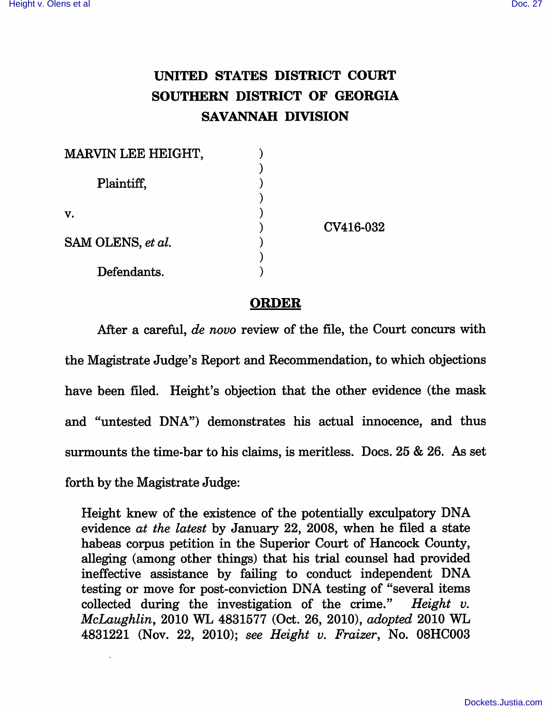## UNITED STATES DISTRICT COURT SOUTHERN DISTRICT OF GEORGIA SAVANNAH DIVISION

| MARVIN LEE HEIGHT, |           |
|--------------------|-----------|
|                    |           |
| Plaintiff,         |           |
| v.                 |           |
|                    | CV416-032 |
| SAM OLENS, et al.  |           |
|                    |           |
| Defendants.        |           |

## ORDER

After a careful, de novo review of the file, the Court concurs with the Magistrate Judge's Report and Recommendation, to which objections have been filed. Height's objection that the other evidence (the mask and "untested DNA") demonstrates his actual innocence, and thus surmounts the time-bar to his claims, is meritless. Docs. 25 & 26. As set forth by the Magistrate Judge:

Height knew of the existence of the potentially exculpatory DNA evidence at the latest by January 22, 2008, when he filed a state habeas corpus petition in the Superior Court of Hancock County, alleging (among other things) that his trial counsel had provided ineffective assistance by faihng to conduct independent DNA testing or move for post-conviction DNA testing of "several items collected during the investigation of the crime." Height v. McLaughlin, 2010 WL 4831577 (Oct. 26, 2010), adopted 2010 WL 4831221 (Nov. 22, 2010); see Height v. Fraizer, No. 08HC003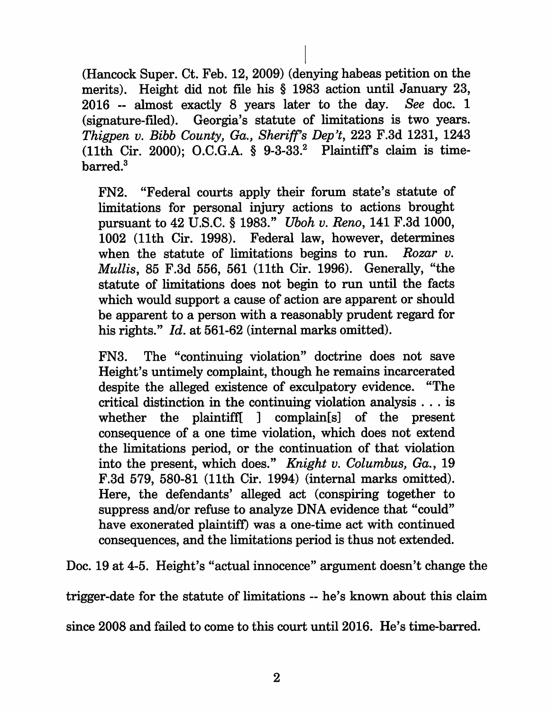(Hancock Super. Ct. Feb. 12, 2009) (denying habeas petition on the merits). Height did not file his § 1983 action until January 23, 2016 ~ almost exactly 8 years later to the day. See doc. 1 (signature-filed). Georgia's statute of limitations is two years. Thigpen v. Bibb County, Ga., Sheriff's Dep't, 223 F.3d 1231, 1243  $(11th)$  Cir. 2000); O.C.G.A. § 9-3-33.<sup>2</sup> Plaintiff's claim is timebarred.<sup>3</sup>

FN2. "Federal courts apply their forum state's statute of limitations for personal injury actions to actions brought pursuant to 42 U.S.C. § 1983." Uboh v, Reno, 141 F.3d 1000, 1002 (11th Cir. 1998). Federal law, however, determines when the statute of limitations begins to run. Rozar  $v$ . Mullis, 85 F.3d 556, 561 (11th Cir. 1996). Generally, "the statute of limitations does not begin to run until the facts which would support a cause of action are apparent or should be apparent to a person with a reasonably prudent regard for his rights." Id. at 561-62 (internal marks omitted).

FN3. The "continuing violation" doctrine does not save Height's untimely complaint, though he remains incarcerated despite the alleged existence of exculpatory evidence. "The critical distinction in the continuing violation analysis ... is whether the plaintiffl ] complain[s] of the present consequence of a one time violation, which does not extend the limitations period, or the continuation of that violation into the present, which does." Knight v. Columbus, Ga., 19 F.3d 579, 580-81 (11th Cir. 1994) (internal marks omitted). Here, the defendants' alleged act (conspiring together to suppress and/or refuse to analyze DNA evidence that "could" have exonerated plaintiff) was a one-time act with continued consequences, and the limitations period is thus not extended.

Doc. 19 at 4-5. Height's "actual innocence" argument doesn't change the

trigger-date for the statute of limitations - he's known about this claim

since 2008 and failed to come to this court until 2016. He's time-barred.